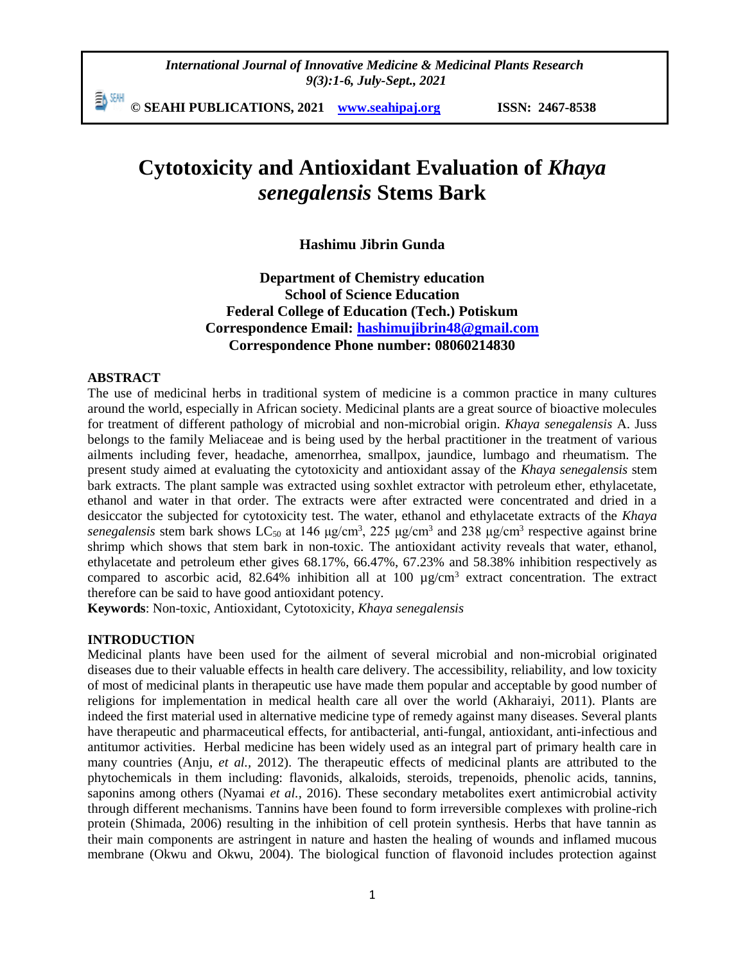*International Journal of Innovative Medicine & Medicinal Plants Research 9(3):1-6, July-Sept., 2021*

動細 **© SEAHI PUBLICATIONS, 2021 [www.seahipaj.org](http://www.seahipaj.org/) ISSN: 2467-8538**

# **Cytotoxicity and Antioxidant Evaluation of** *Khaya senegalensis* **Stems Bark**

**Hashimu Jibrin Gunda**

**Department of Chemistry education School of Science Education Federal College of Education (Tech.) Potiskum Correspondence Email: [hashimujibrin48@gmail.com](mailto:hashimujibrin48@gmail.com) Correspondence Phone number: 08060214830**

#### **ABSTRACT**

The use of medicinal herbs in traditional system of medicine is a common practice in many cultures around the world, especially in African society. Medicinal plants are a great source of bioactive molecules for treatment of different pathology of microbial and non-microbial origin. *Khaya senegalensis* A. Juss belongs to the family Meliaceae and is being used by the herbal practitioner in the treatment of various ailments including fever, headache, amenorrhea, smallpox, jaundice, lumbago and rheumatism. The present study aimed at evaluating the cytotoxicity and antioxidant assay of the *Khaya senegalensis* stem bark extracts. The plant sample was extracted using soxhlet extractor with petroleum ether, ethylacetate, ethanol and water in that order. The extracts were after extracted were concentrated and dried in a desiccator the subjected for cytotoxicity test. The water, ethanol and ethylacetate extracts of the *Khaya senegalensis* stem bark shows LC<sub>50</sub> at 146  $\mu$ g/cm<sup>3</sup>, 225  $\mu$ g/cm<sup>3</sup> and 238  $\mu$ g/cm<sup>3</sup> respective against brine shrimp which shows that stem bark in non-toxic. The antioxidant activity reveals that water, ethanol, ethylacetate and petroleum ether gives 68.17%, 66.47%, 67.23% and 58.38% inhibition respectively as compared to ascorbic acid, 82.64% inhibition all at 100  $\mu$ g/cm<sup>3</sup> extract concentration. The extract therefore can be said to have good antioxidant potency.

**Keywords**: Non-toxic, Antioxidant, Cytotoxicity, *Khaya senegalensis*

#### **INTRODUCTION**

Medicinal plants have been used for the ailment of several microbial and non-microbial originated diseases due to their valuable effects in health care delivery. The accessibility, reliability, and low toxicity of most of medicinal plants in therapeutic use have made them popular and acceptable by good number of religions for implementation in medical health care all over the world (Akharaiyi, 2011). Plants are indeed the first material used in alternative medicine type of remedy against many diseases. Several plants have therapeutic and pharmaceutical effects, for antibacterial, anti-fungal, antioxidant, anti-infectious and antitumor activities. Herbal medicine has been widely used as an integral part of primary health care in many countries (Anju, *et al.,* 2012). The therapeutic effects of medicinal plants are attributed to the phytochemicals in them including: flavonids, alkaloids, steroids, trepenoids, phenolic acids, tannins, saponins among others (Nyamai *et al.,* 2016). These secondary metabolites exert antimicrobial activity through different mechanisms. Tannins have been found to form irreversible complexes with proline-rich protein (Shimada, 2006) resulting in the inhibition of cell protein synthesis. Herbs that have tannin as their main components are astringent in nature and hasten the healing of wounds and inflamed mucous membrane (Okwu and Okwu, 2004). The biological function of flavonoid includes protection against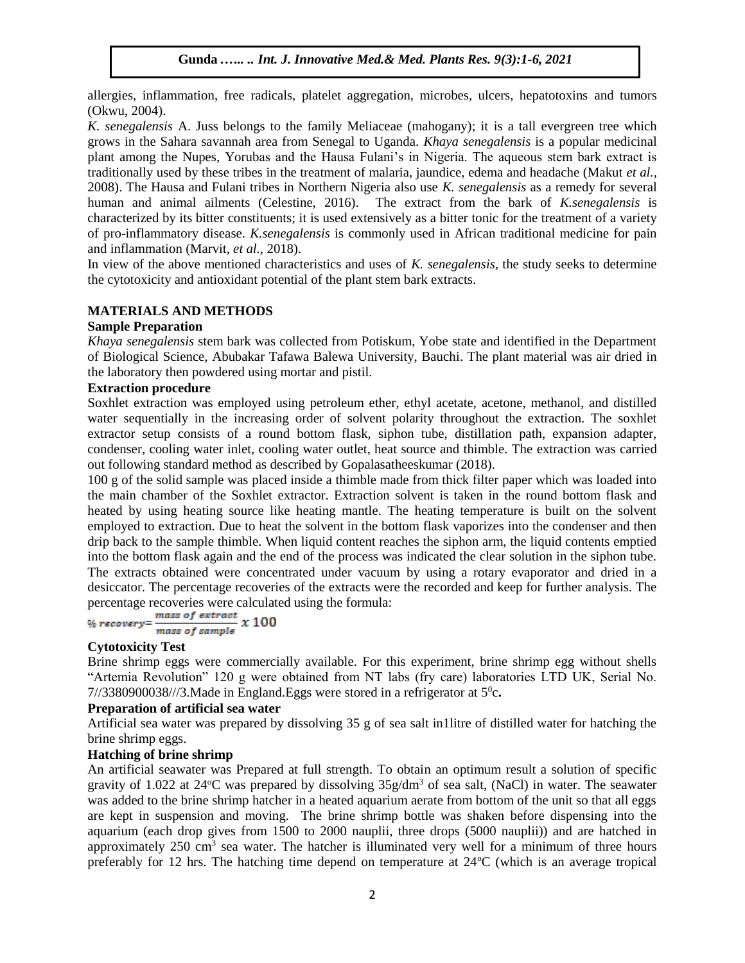allergies, inflammation, free radicals, platelet aggregation, microbes, ulcers, hepatotoxins and tumors (Okwu, 2004).

*K. senegalensis* A. Juss belongs to the family Meliaceae (mahogany); it is a tall evergreen tree which grows in the Sahara savannah area from Senegal to Uganda. *Khaya senegalensis* is a popular medicinal plant among the Nupes, Yorubas and the Hausa Fulani's in Nigeria. The aqueous stem bark extract is traditionally used by these tribes in the treatment of malaria, jaundice, edema and headache (Makut *et al.,* 2008). The Hausa and Fulani tribes in Northern Nigeria also use *K. senegalensis* as a remedy for several human and animal ailments (Celestine, 2016). The extract from the bark of *K.senegalensis* is characterized by its bitter constituents; it is used extensively as a bitter tonic for the treatment of a variety of pro-inflammatory disease. *K.senegalensis* is commonly used in African traditional medicine for pain and inflammation (Marvit, *et al.,* 2018).

In view of the above mentioned characteristics and uses of *K. senegalensis*, the study seeks to determine the cytotoxicity and antioxidant potential of the plant stem bark extracts.

# **MATERIALS AND METHODS**

# **Sample Preparation**

*Khaya senegalensis* stem bark was collected from Potiskum, Yobe state and identified in the Department of Biological Science, Abubakar Tafawa Balewa University, Bauchi. The plant material was air dried in the laboratory then powdered using mortar and pistil.

# **Extraction procedure**

Soxhlet extraction was employed using petroleum ether, ethyl acetate, acetone, methanol, and distilled water sequentially in the increasing order of solvent polarity throughout the extraction. The soxhlet extractor setup consists of a round bottom flask, siphon tube, distillation path, expansion adapter, condenser, cooling water inlet, cooling water outlet, heat source and thimble. The extraction was carried out following standard method as described by Gopalasatheeskumar (2018).

100 g of the solid sample was placed inside a thimble made from thick filter paper which was loaded into the main chamber of the Soxhlet extractor. Extraction solvent is taken in the round bottom flask and heated by using heating source like heating mantle. The heating temperature is built on the solvent employed to extraction. Due to heat the solvent in the bottom flask vaporizes into the condenser and then drip back to the sample thimble. When liquid content reaches the siphon arm, the liquid contents emptied into the bottom flask again and the end of the process was indicated the clear solution in the siphon tube. The extracts obtained were concentrated under vacuum by using a rotary evaporator and dried in a desiccator. The percentage recoveries of the extracts were the recorded and keep for further analysis. The percentage recoveries were calculated using the formula:

$$
\% recovery = \frac{mass\ of\ extract}{mass\ of\ sample} \ x\ 100
$$

# **Cytotoxicity Test**

Brine shrimp eggs were commercially available. For this experiment, brine shrimp egg without shells "Artemia Revolution" 120 g were obtained from NT labs (fry care) laboratories LTD UK, Serial No.  $7/7/3380900038$ // $/3$ . Made in England. Eggs were stored in a refrigerator at  $5^0$ c.

# **Preparation of artificial sea water**

Artificial sea water was prepared by dissolving 35 g of sea salt in1litre of distilled water for hatching the brine shrimp eggs.

# **Hatching of brine shrimp**

An artificial seawater was Prepared at full strength. To obtain an optimum result a solution of specific gravity of 1.022 at 24 $\degree$ C was prepared by dissolving 35 $g/dm<sup>3</sup>$  of sea salt, (NaCl) in water. The seawater was added to the brine shrimp hatcher in a heated aquarium aerate from bottom of the unit so that all eggs are kept in suspension and moving. The brine shrimp bottle was shaken before dispensing into the aquarium (each drop gives from 1500 to 2000 nauplii, three drops (5000 nauplii)) and are hatched in approximately 250 cm<sup>3</sup> sea water. The hatcher is illuminated very well for a minimum of three hours preferably for 12 hrs. The hatching time depend on temperature at  $24^{\circ}$ C (which is an average tropical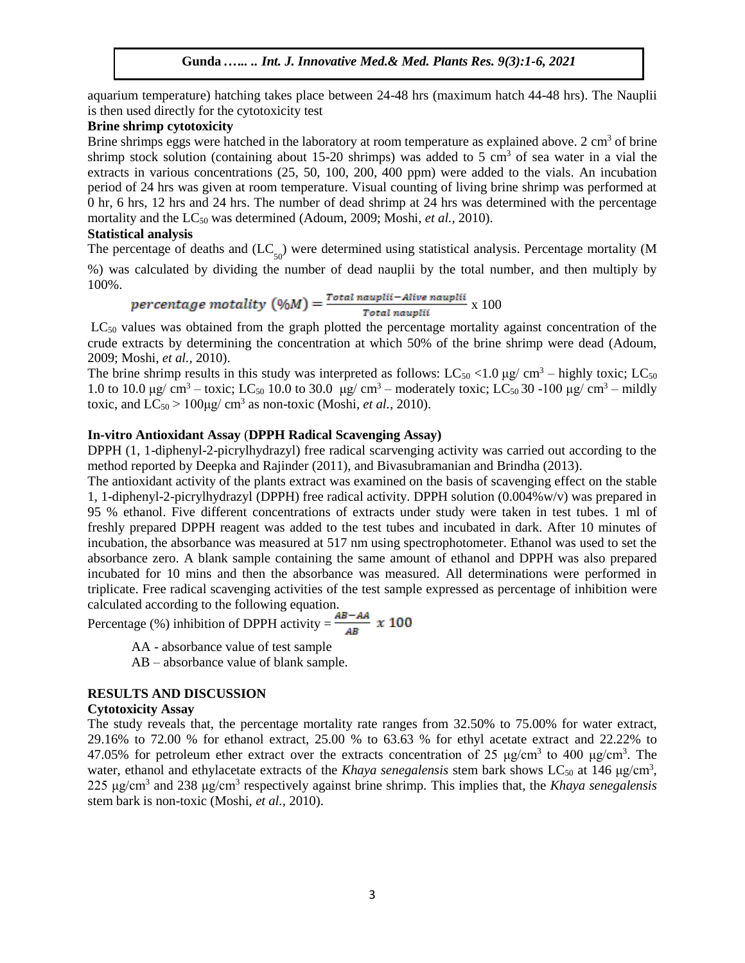aquarium temperature) hatching takes place between 24-48 hrs (maximum hatch 44-48 hrs). The Nauplii is then used directly for the cytotoxicity test

## **Brine shrimp cytotoxicity**

Brine shrimps eggs were hatched in the laboratory at room temperature as explained above. 2 cm<sup>3</sup> of brine shrimp stock solution (containing about 15-20 shrimps) was added to 5 cm<sup>3</sup> of sea water in a vial the extracts in various concentrations (25, 50, 100, 200, 400 ppm) were added to the vials. An incubation period of 24 hrs was given at room temperature. Visual counting of living brine shrimp was performed at 0 hr, 6 hrs, 12 hrs and 24 hrs. The number of dead shrimp at 24 hrs was determined with the percentage mortality and the LC<sub>50</sub> was determined (Adoum, 2009; Moshi, *et al.*, 2010).

### **Statistical analysis**

The percentage of deaths and  $(LC_{50})$  were determined using statistical analysis. Percentage mortality (M %) was calculated by dividing the number of dead nauplii by the total number, and then multiply by 100%.

$$
percentage\;matality\;(\%)M) = \frac{Total\;nawplii - Aliive\;nawplii}{Total\;nawplii} \;x\;100
$$

LC<sub>50</sub> values was obtained from the graph plotted the percentage mortality against concentration of the crude extracts by determining the concentration at which 50% of the brine shrimp were dead (Adoum, 2009; Moshi, *et al.,* 2010).

The brine shrimp results in this study was interpreted as follows:  $LC_{50}$  <1.0  $\mu$ g/ cm<sup>3</sup> – highly toxic;  $LC_{50}$ 1.0 to 10.0 μg/ cm<sup>3</sup> – toxic; LC<sub>50</sub> 10.0 to 30.0 μg/ cm<sup>3</sup> – moderately toxic; LC<sub>50</sub> 30 -100 μg/ cm<sup>3</sup> – mildly toxic, and  $LC_{50}$  > 100 $\mu$ g/ cm<sup>3</sup> as non-toxic (Moshi, *et al.*, 2010).

### **In-vitro Antioxidant Assay** (**DPPH Radical Scavenging Assay)**

DPPH (1, 1-diphenyl-2-picrylhydrazyl) free radical scarvenging activity was carried out according to the method reported by Deepka and Rajinder (2011), and Bivasubramanian and Brindha (2013).

The antioxidant activity of the plants extract was examined on the basis of scavenging effect on the stable 1, 1-diphenyl-2-picrylhydrazyl (DPPH) free radical activity. DPPH solution (0.004%w/v) was prepared in 95 % ethanol. Five different concentrations of extracts under study were taken in test tubes. 1 ml of freshly prepared DPPH reagent was added to the test tubes and incubated in dark. After 10 minutes of incubation, the absorbance was measured at 517 nm using spectrophotometer. Ethanol was used to set the absorbance zero. A blank sample containing the same amount of ethanol and DPPH was also prepared incubated for 10 mins and then the absorbance was measured. All determinations were performed in triplicate. Free radical scavenging activities of the test sample expressed as percentage of inhibition were calculated according to the following equation.

Percentage (%) inhibition of DPPH activity =  $\frac{AB - AA}{AB} x 100$ 

AA - absorbance value of test sample

AB – absorbance value of blank sample.

# **RESULTS AND DISCUSSION**

# **Cytotoxicity Assay**

The study reveals that, the percentage mortality rate ranges from 32.50% to 75.00% for water extract, 29.16% to 72.00 % for ethanol extract, 25.00 % to 63.63 % for ethyl acetate extract and 22.22% to 47.05% for petroleum ether extract over the extracts concentration of 25  $\mu$ g/cm<sup>3</sup> to 400  $\mu$ g/cm<sup>3</sup>. The water, ethanol and ethylacetate extracts of the *Khaya senegalensis* stem bark shows LC<sub>50</sub> at 146 μg/cm<sup>3</sup>, 225 μg/cm<sup>3</sup> and 238 μg/cm<sup>3</sup> respectively against brine shrimp. This implies that, the *Khaya senegalensis*  stem bark is non-toxic (Moshi, *et al.,* 2010).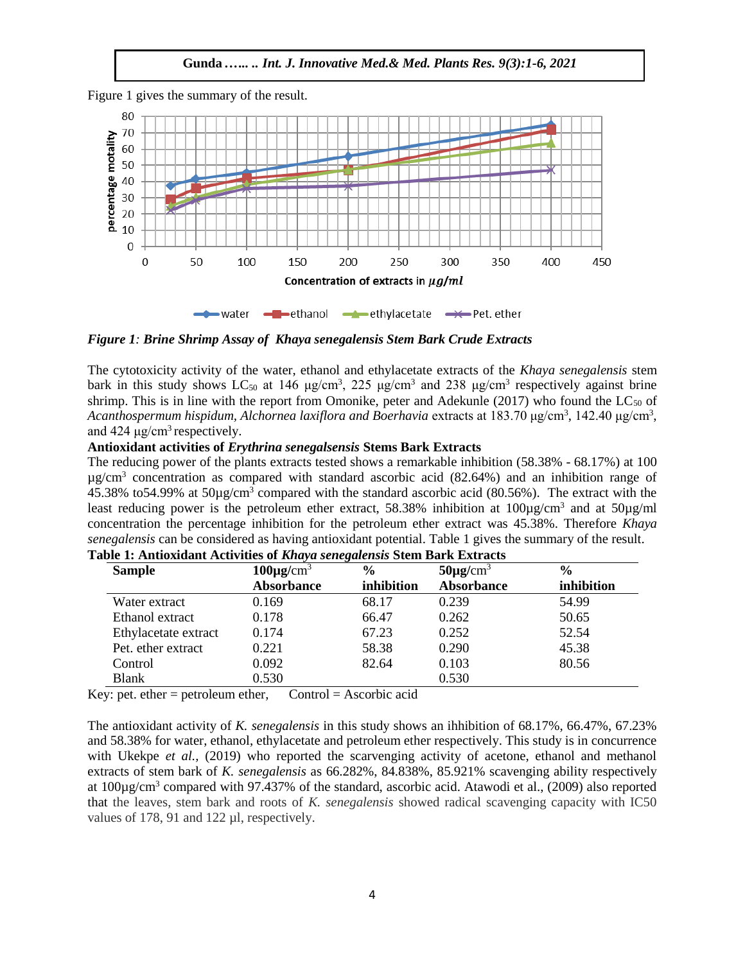

Figure 1 gives the summary of the result.



*Figure 1: Brine Shrimp Assay of Khaya senegalensis Stem Bark Crude Extracts*

The cytotoxicity activity of the water, ethanol and ethylacetate extracts of the *Khaya senegalensis* stem bark in this study shows LC<sub>50</sub> at 146  $\mu$ g/cm<sup>3</sup>, 225  $\mu$ g/cm<sup>3</sup> and 238  $\mu$ g/cm<sup>3</sup> respectively against brine shrimp. This is in line with the report from Omonike, peter and Adekunle (2017) who found the  $LC_{50}$  of Acanthospermum hispidum, Alchornea laxiflora and Boerhavia extracts at 183.70 μg/cm<sup>3</sup>, 142.40 μg/cm<sup>3</sup>, and  $424 \mu g/cm^3$  respectively.

**Antioxidant activities of** *Erythrina senegalsensis* **Stems Bark Extracts**

The reducing power of the plants extracts tested shows a remarkable inhibition (58.38% - 68.17%) at 100  $\mu$ g/cm<sup>3</sup> concentration as compared with standard ascorbic acid (82.64%) and an inhibition range of 45.38% to 54.99% at  $50\mu$ g/cm<sup>3</sup> compared with the standard ascorbic acid (80.56%). The extract with the least reducing power is the petroleum ether extract, 58.38% inhibition at  $100\mu\text{g/cm}^3$  and at  $50\mu\text{g/ml}$ concentration the percentage inhibition for the petroleum ether extract was 45.38%. Therefore *Khaya senegalensis* can be considered as having antioxidant potential. Table 1 gives the summary of the result.

| <b>Sample</b>        | $100\mu\text{g/cm}^3$ | $\frac{6}{9}$ | $50\mu$ g/cm <sup>3</sup> | $\frac{6}{9}$ |
|----------------------|-----------------------|---------------|---------------------------|---------------|
|                      | Absorbance            | inhibition    | <b>Absorbance</b>         | inhibition    |
| Water extract        | 0.169                 | 68.17         | 0.239                     | 54.99         |
| Ethanol extract      | 0.178                 | 66.47         | 0.262                     | 50.65         |
| Ethylacetate extract | 0.174                 | 67.23         | 0.252                     | 52.54         |
| Pet. ether extract   | 0.221                 | 58.38         | 0.290                     | 45.38         |
| Control              | 0.092                 | 82.64         | 0.103                     | 80.56         |
| <b>Blank</b>         | 0.530                 |               | 0.530                     |               |

|  |  |  | Table 1: Antioxidant Activities of Khaya senegalensis Stem Bark Extracts |
|--|--|--|--------------------------------------------------------------------------|
|--|--|--|--------------------------------------------------------------------------|

Key: pet. ether  $=$  petroleum ether, Control  $=$  Ascorbic acid

The antioxidant activity of *K. senegalensis* in this study shows an ihhibition of 68.17%, 66.47%, 67.23% and 58.38% for water, ethanol, ethylacetate and petroleum ether respectively. This study is in concurrence with Ukekpe *et al.*, (2019) who reported the scarvenging activity of acetone, ethanol and methanol extracts of stem bark of *K. senegalensis* as 66.282%, 84.838%, 85.921% scavenging ability respectively at 100µg/cm<sup>3</sup> compared with 97.437% of the standard, ascorbic acid. Atawodi et al., (2009) also reported that the leaves, stem bark and roots of *K. senegalensis* showed radical scavenging capacity with IC50 values of 178, 91 and 122 µl, respectively.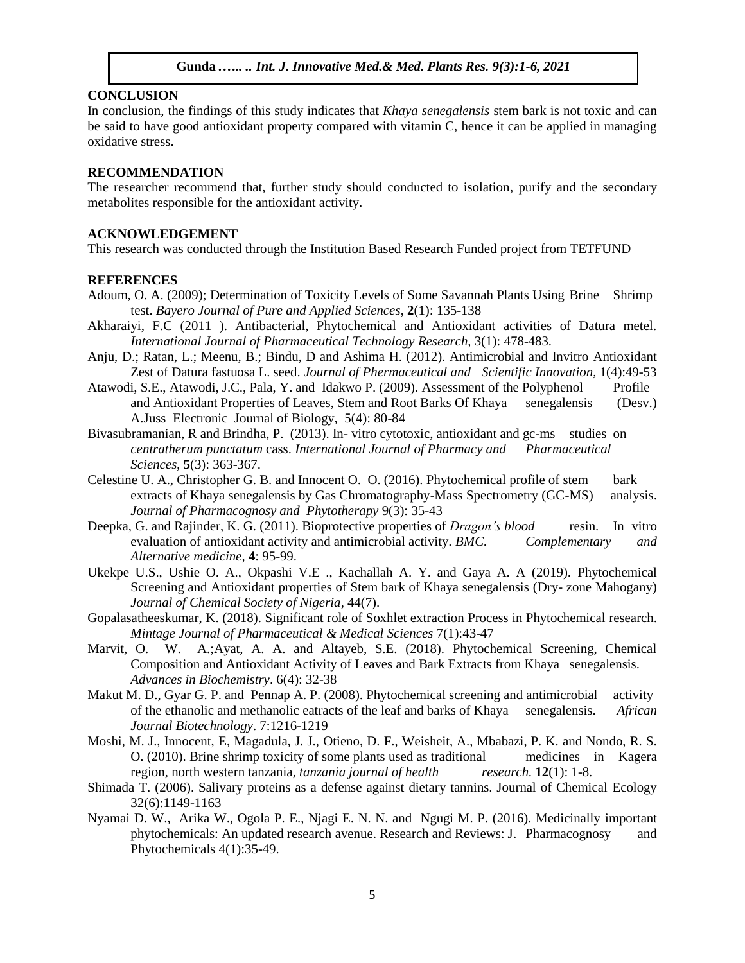#### **CONCLUSION**

In conclusion, the findings of this study indicates that *Khaya senegalensis* stem bark is not toxic and can be said to have good antioxidant property compared with vitamin C, hence it can be applied in managing oxidative stress.

#### **RECOMMENDATION**

The researcher recommend that, further study should conducted to isolation, purify and the secondary metabolites responsible for the antioxidant activity.

### **ACKNOWLEDGEMENT**

This research was conducted through the Institution Based Research Funded project from TETFUND

## **REFERENCES**

- Adoum, O. A. (2009); Determination of Toxicity Levels of Some Savannah Plants Using Brine Shrimp test. *Bayero Journal of Pure and Applied Sciences*, **2**(1): 135-138
- Akharaiyi, F.C (2011 ). Antibacterial, Phytochemical and Antioxidant activities of Datura metel. *International Journal of Pharmaceutical Technology Research,* 3(1): 478-483.
- Anju, D.; Ratan, L.; Meenu, B.; Bindu, D and Ashima H. (2012). Antimicrobial and Invitro Antioxidant Zest of Datura fastuosa L. seed. *Journal of Phermaceutical and Scientific Innovation*, 1(4):49-53
- Atawodi, S.E., Atawodi, J.C., Pala, Y. and Idakwo P. (2009). Assessment of the Polyphenol Profile and Antioxidant Properties of Leaves, Stem and Root Barks Of Khaya senegalensis (Desv.) A.Juss Electronic Journal of Biology, 5(4): 80-84
- Bivasubramanian, R and Brindha, P. (2013). In- vitro cytotoxic, antioxidant and gc-ms studies on *centratherum punctatum* cass. *International Journal of Pharmacy and Pharmaceutical Sciences,* **5**(3): 363-367.
- Celestine U. A., Christopher G. B. and Innocent O. O. (2016). Phytochemical profile of stem bark extracts of Khaya senegalensis by Gas Chromatography-Mass Spectrometry (GC-MS) analysis. *Journal of Pharmacognosy and Phytotherapy* 9(3): 35-43
- Deepka, G. and Rajinder, K. G. (2011). Bioprotective properties of *Dragon's blood* resin. In vitro evaluation of antioxidant activity and antimicrobial activity. *BMC. Complementary and Alternative medicine,* **4**: 95-99.
- Ukekpe U.S., Ushie O. A., Okpashi V.E ., Kachallah A. Y. and Gaya A. A (2019). Phytochemical Screening and Antioxidant properties of Stem bark of Khaya senegalensis (Dry- zone Mahogany) *Journal of Chemical Society of Nigeria*, 44(7).
- Gopalasatheeskumar, K. (2018). Significant role of Soxhlet extraction Process in Phytochemical research. *Mintage Journal of Pharmaceutical & Medical Sciences* 7(1):43-47
- Marvit, O. W. A.;Ayat, A. A. and Altayeb, S.E. (2018). Phytochemical Screening, Chemical Composition and Antioxidant Activity of Leaves and Bark Extracts from Khaya senegalensis. *Advances in Biochemistry*. 6(4): 32-38
- Makut M. D., Gyar G. P. and Pennap A. P. (2008). Phytochemical screening and antimicrobial activity of the ethanolic and methanolic eatracts of the leaf and barks of Khaya senegalensis. *African Journal Biotechnology*. 7:1216-1219
- Moshi, M. J., Innocent, E, Magadula, J. J., Otieno, D. F., Weisheit, A., Mbabazi, P. K. and Nondo, R. S. O. (2010). Brine shrimp toxicity of some plants used as traditional medicines in Kagera region, north western tanzania, *tanzania journal of health research.* **12**(1): 1-8.
- Shimada T. (2006). Salivary proteins as a defense against dietary tannins. Journal of Chemical Ecology 32(6):1149-1163
- Nyamai D. W., Arika W., Ogola P. E., Njagi E. N. N. and Ngugi M. P. (2016). Medicinally important phytochemicals: An updated research avenue. Research and Reviews: J. Pharmacognosy and Phytochemicals 4(1):35-49.